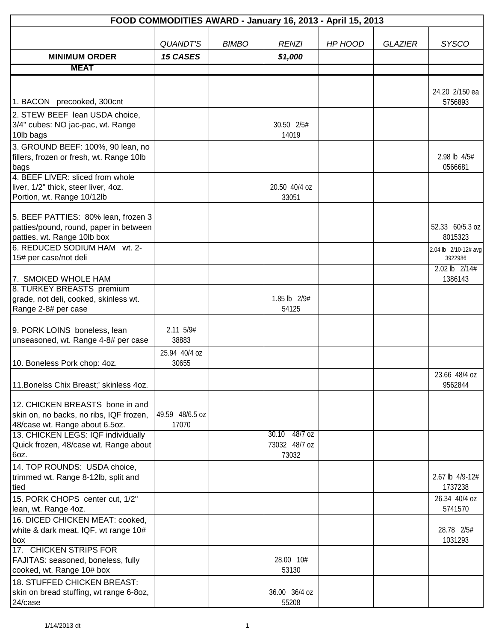|                                                                                                              |                          |              | FOOD COMMODITIES AWARD - January 16, 2013 - April 15, 2013 |         |                |                                 |
|--------------------------------------------------------------------------------------------------------------|--------------------------|--------------|------------------------------------------------------------|---------|----------------|---------------------------------|
|                                                                                                              |                          |              |                                                            |         |                |                                 |
|                                                                                                              | <b>QUANDT'S</b>          | <b>BIMBO</b> | <b>RENZI</b>                                               | HP HOOD | <b>GLAZIER</b> | <b>SYSCO</b>                    |
| <b>MINIMUM ORDER</b>                                                                                         | <b>15 CASES</b>          |              | \$1,000                                                    |         |                |                                 |
| <b>MEAT</b>                                                                                                  |                          |              |                                                            |         |                |                                 |
|                                                                                                              |                          |              |                                                            |         |                |                                 |
| 1. BACON precooked, 300cnt                                                                                   |                          |              |                                                            |         |                | 24.20 2/150 ea<br>5756893       |
| 2. STEW BEEF lean USDA choice,                                                                               |                          |              |                                                            |         |                |                                 |
| 3/4" cubes: NO jac-pac, wt. Range<br>10lb bags                                                               |                          |              | 30.50 2/5#<br>14019                                        |         |                |                                 |
| 3. GROUND BEEF: 100%, 90 lean, no<br>fillers, frozen or fresh, wt. Range 10lb<br>bags                        |                          |              |                                                            |         |                | 2.98 lb 4/5#<br>0566681         |
| 4. BEEF LIVER: sliced from whole<br>liver, 1/2" thick, steer liver, 4oz.<br>Portion, wt. Range 10/12lb       |                          |              | 20.50 40/4 oz<br>33051                                     |         |                |                                 |
| 5. BEEF PATTIES: 80% lean, frozen 3<br>patties/pound, round, paper in between<br>patties, wt. Range 10lb box |                          |              |                                                            |         |                | 52.33 60/5.3 oz<br>8015323      |
| 6. REDUCED SODIUM HAM wt. 2-<br>15# per case/not deli                                                        |                          |              |                                                            |         |                | 2.04 lb 2/10-12# avg<br>3922986 |
| 7. SMOKED WHOLE HAM                                                                                          |                          |              |                                                            |         |                | 2.02 lb 2/14#<br>1386143        |
| 8. TURKEY BREASTS premium                                                                                    |                          |              |                                                            |         |                |                                 |
| grade, not deli, cooked, skinless wt.<br>Range 2-8# per case                                                 |                          |              | 1.85 lb 2/9#<br>54125                                      |         |                |                                 |
| 9. PORK LOINS boneless, lean<br>unseasoned, wt. Range 4-8# per case                                          | 2.11 5/9#<br>38883       |              |                                                            |         |                |                                 |
|                                                                                                              | 25.94 40/4 oz            |              |                                                            |         |                |                                 |
| 10. Boneless Pork chop: 4oz.                                                                                 | 30655                    |              |                                                            |         |                |                                 |
| 11. Bonelss Chix Breast;' skinless 4oz.                                                                      |                          |              |                                                            |         |                | 23.66 48/4 oz<br>9562844        |
| 12. CHICKEN BREASTS bone in and<br>skin on, no backs, no ribs, IQF frozen,<br>48/case wt. Range about 6.5oz. | 49.59 48/6.5 oz<br>17070 |              |                                                            |         |                |                                 |
| 13. CHICKEN LEGS: IQF individually<br>Quick frozen, 48/case wt. Range about<br>6oz.                          |                          |              | 30.10 48/7 oz<br>73032 48/7 oz<br>73032                    |         |                |                                 |
| 14. TOP ROUNDS: USDA choice,<br>trimmed wt. Range 8-12lb, split and<br>tied                                  |                          |              |                                                            |         |                | 2.67 lb 4/9-12#<br>1737238      |
| 15. PORK CHOPS center cut, 1/2"<br>lean, wt. Range 4oz.                                                      |                          |              |                                                            |         |                | 26.34 40/4 oz<br>5741570        |
| 16. DICED CHICKEN MEAT: cooked,<br>white & dark meat, IQF, wt range 10#<br>box                               |                          |              |                                                            |         |                | 28.78 2/5#<br>1031293           |
| 17. CHICKEN STRIPS FOR<br>FAJITAS: seasoned, boneless, fully<br>cooked, wt. Range 10# box                    |                          |              | 28.00 10#<br>53130                                         |         |                |                                 |
| 18. STUFFED CHICKEN BREAST:<br>skin on bread stuffing, wt range 6-8oz,<br>24/case                            |                          |              | 36.00 36/4 oz<br>55208                                     |         |                |                                 |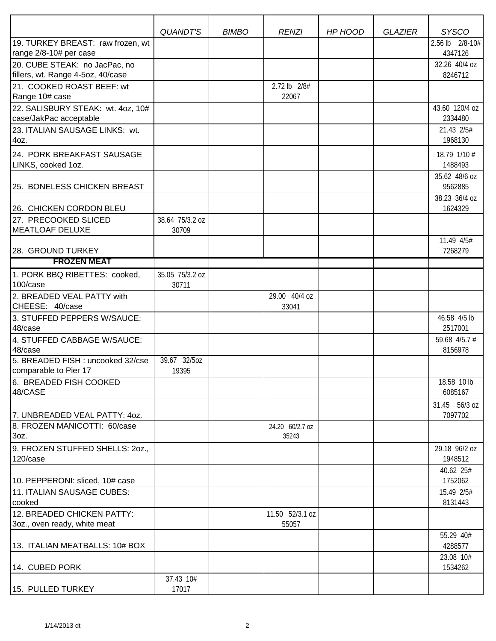|                                             |                 |              | <b>RENZI</b>    |         |                | <b>SYSCO</b>             |
|---------------------------------------------|-----------------|--------------|-----------------|---------|----------------|--------------------------|
| 19. TURKEY BREAST: raw frozen, wt           | QUANDT'S        | <b>BIMBO</b> |                 | HP HOOD | <b>GLAZIER</b> | 2.56 lb 2/8-10#          |
| range 2/8-10# per case                      |                 |              |                 |         |                | 4347126                  |
| 20. CUBE STEAK: no JacPac, no               |                 |              |                 |         |                | 32.26 40/4 oz            |
| fillers, wt. Range 4-5oz, 40/case           |                 |              |                 |         |                | 8246712                  |
| 21. COOKED ROAST BEEF: wt                   |                 |              | 2.72 lb 2/8#    |         |                |                          |
| Range 10# case                              |                 |              | 22067           |         |                |                          |
| 22. SALISBURY STEAK: wt. 4oz, 10#           |                 |              |                 |         |                | 43.60 120/4 oz           |
| case/JakPac acceptable                      |                 |              |                 |         |                | 2334480                  |
| 23. ITALIAN SAUSAGE LINKS: wt.<br>4oz.      |                 |              |                 |         |                | 21.43 2/5#<br>1968130    |
| 24. PORK BREAKFAST SAUSAGE                  |                 |              |                 |         |                | 18.79 1/10 #             |
| LINKS, cooked 1oz.                          |                 |              |                 |         |                | 1488493                  |
|                                             |                 |              |                 |         |                | 35.62 48/6 oz            |
| 25. BONELESS CHICKEN BREAST                 |                 |              |                 |         |                | 9562885                  |
|                                             |                 |              |                 |         |                | 38.23 36/4 oz            |
| 26. CHICKEN CORDON BLEU                     |                 |              |                 |         |                | 1624329                  |
| 27. PRECOOKED SLICED                        | 38.64 75/3.2 oz |              |                 |         |                |                          |
| <b>MEATLOAF DELUXE</b>                      | 30709           |              |                 |         |                |                          |
| 28. GROUND TURKEY                           |                 |              |                 |         |                | 11.49 4/5#<br>7268279    |
| <b>FROZEN MEAT</b>                          |                 |              |                 |         |                |                          |
| 1. PORK BBQ RIBETTES: cooked,               | 35.05 75/3.2 oz |              |                 |         |                |                          |
| 100/case                                    | 30711           |              |                 |         |                |                          |
| 2. BREADED VEAL PATTY with                  |                 |              | 29.00 40/4 oz   |         |                |                          |
| CHEESE: 40/case                             |                 |              | 33041           |         |                |                          |
| 3. STUFFED PEPPERS W/SAUCE:<br>48/case      |                 |              |                 |         |                | 46.58 4/5 lb<br>2517001  |
| 4. STUFFED CABBAGE W/SAUCE:<br>48/case      |                 |              |                 |         |                | 59.68 4/5.7 #<br>8156978 |
| 5. BREADED FISH : uncooked 32/cse           | 39.67 32/5oz    |              |                 |         |                |                          |
| comparable to Pier 17                       | 19395           |              |                 |         |                |                          |
| 6. BREADED FISH COOKED<br>48/CASE           |                 |              |                 |         |                | 18.58 10 lb<br>6085167   |
|                                             |                 |              |                 |         |                | 31.45 56/3 oz            |
| 7. UNBREADED VEAL PATTY: 40Z.               |                 |              |                 |         |                | 7097702                  |
| 8. FROZEN MANICOTTI: 60/case                |                 |              | 24.20 60/2.7 oz |         |                |                          |
| 3oz.                                        |                 |              | 35243           |         |                |                          |
| 9. FROZEN STUFFED SHELLS: 20Z.,<br>120/case |                 |              |                 |         |                | 29.18 96/2 oz<br>1948512 |
|                                             |                 |              |                 |         |                | 40.62 25#                |
| 10. PEPPERONI: sliced, 10# case             |                 |              |                 |         |                | 1752062                  |
| 11. ITALIAN SAUSAGE CUBES:<br>cooked        |                 |              |                 |         |                | 15.49 2/5#<br>8131443    |
| 12. BREADED CHICKEN PATTY:                  |                 |              | 11.50 52/3.1 oz |         |                |                          |
| 3oz., oven ready, white meat                |                 |              | 55057           |         |                |                          |
|                                             |                 |              |                 |         |                | 55.29 40#                |
| 13. ITALIAN MEATBALLS: 10# BOX              |                 |              |                 |         |                | 4288577                  |
| 14. CUBED PORK                              |                 |              |                 |         |                | 23.08 10#<br>1534262     |
|                                             | 37.43 10#       |              |                 |         |                |                          |
| 15. PULLED TURKEY                           | 17017           |              |                 |         |                |                          |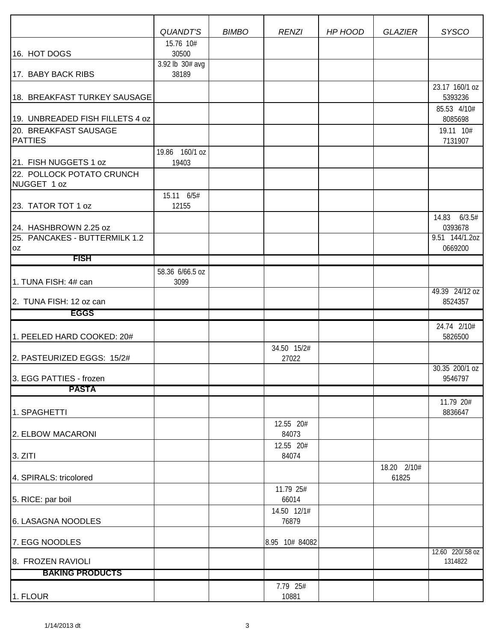|                                                        | QUANDT'S                 | <b>BIMBO</b> | <b>RENZI</b>         | HP HOOD | <b>GLAZIER</b>       | <b>SYSCO</b>              |
|--------------------------------------------------------|--------------------------|--------------|----------------------|---------|----------------------|---------------------------|
|                                                        | 15.76 10#                |              |                      |         |                      |                           |
| 16. HOT DOGS                                           | 30500                    |              |                      |         |                      |                           |
| 17. BABY BACK RIBS                                     | 3.92 lb 30# avg<br>38189 |              |                      |         |                      |                           |
|                                                        |                          |              |                      |         |                      | 23.17 160/1 oz            |
| 18. BREAKFAST TURKEY SAUSAGE                           |                          |              |                      |         |                      | 5393236                   |
|                                                        |                          |              |                      |         |                      | 85.53 4/10#               |
| 19. UNBREADED FISH FILLETS 4 oz                        |                          |              |                      |         |                      | 8085698                   |
| 20. BREAKFAST SAUSAGE<br><b>PATTIES</b>                |                          |              |                      |         |                      | 19.11 10#<br>7131907      |
|                                                        | 19.86 160/1 oz           |              |                      |         |                      |                           |
| 21. FISH NUGGETS 1 oz                                  | 19403                    |              |                      |         |                      |                           |
| 22. POLLOCK POTATO CRUNCH<br>NUGGET 1 oz               |                          |              |                      |         |                      |                           |
|                                                        | 15.11 6/5#               |              |                      |         |                      |                           |
| 23. TATOR TOT 1 oz                                     | 12155                    |              |                      |         |                      |                           |
|                                                        |                          |              |                      |         |                      | 14.83 6/3.5#              |
| 24. HASHBROWN 2.25 oz<br>25. PANCAKES - BUTTERMILK 1.2 |                          |              |                      |         |                      | 0393678<br>9.51 144/1.20Z |
| 0Z                                                     |                          |              |                      |         |                      | 0669200                   |
| <b>FISH</b>                                            |                          |              |                      |         |                      |                           |
|                                                        | 58.36 6/66.5 oz          |              |                      |         |                      |                           |
| 1. TUNA FISH: 4# can                                   | 3099                     |              |                      |         |                      | 49.39 24/12 oz            |
| 2. TUNA FISH: 12 oz can                                |                          |              |                      |         |                      | 8524357                   |
| <b>EGGS</b>                                            |                          |              |                      |         |                      |                           |
|                                                        |                          |              |                      |         |                      | 24.74 2/10#               |
| 1. PEELED HARD COOKED: 20#                             |                          |              |                      |         |                      | 5826500                   |
| 2. PASTEURIZED EGGS: 15/2#                             |                          |              | 34.50 15/2#<br>27022 |         |                      |                           |
|                                                        |                          |              |                      |         |                      | 30.35 200/1 oz            |
| 3. EGG PATTIES - frozen                                |                          |              |                      |         |                      | 9546797                   |
| <b>PASTA</b>                                           |                          |              |                      |         |                      |                           |
|                                                        |                          |              |                      |         |                      | 11.79 20#                 |
| 1. SPAGHETTI                                           |                          |              | 12.55 20#            |         |                      | 8836647                   |
| 2. ELBOW MACARONI                                      |                          |              | 84073                |         |                      |                           |
|                                                        |                          |              | 12.55 20#            |         |                      |                           |
| 3. ZITI                                                |                          |              | 84074                |         |                      |                           |
| 4. SPIRALS: tricolored                                 |                          |              |                      |         | 18.20 2/10#<br>61825 |                           |
|                                                        |                          |              | 11.79 25#            |         |                      |                           |
| 5. RICE: par boil                                      |                          |              | 66014                |         |                      |                           |
|                                                        |                          |              | 14.50 12/1#          |         |                      |                           |
| 6. LASAGNA NOODLES                                     |                          |              | 76879                |         |                      |                           |
| 7. EGG NOODLES                                         |                          |              | 8.95 10# 84082       |         |                      |                           |
|                                                        |                          |              |                      |         |                      | 12.60 220/.58 oz          |
| 8. FROZEN RAVIOLI<br><b>BAKING PRODUCTS</b>            |                          |              |                      |         |                      | 1314822                   |
|                                                        |                          |              | 7.79 25#             |         |                      |                           |
| 1. FLOUR                                               |                          |              | 10881                |         |                      |                           |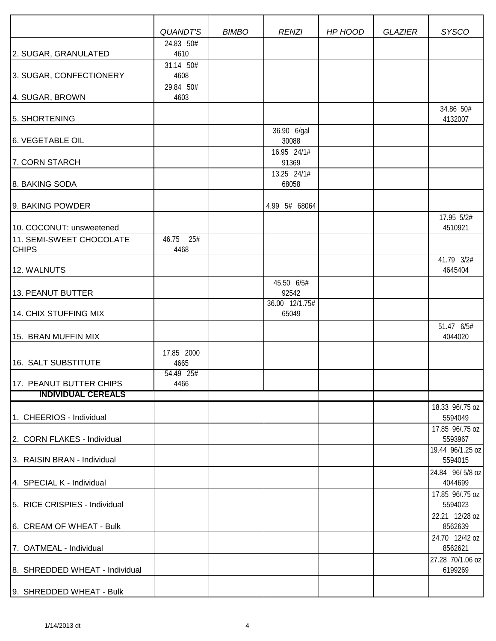|                                                                      | QUANDT'S           | <b>BIMBO</b> | <b>RENZI</b>            | HP HOOD | <b>GLAZIER</b> | <b>SYSCO</b>                                   |
|----------------------------------------------------------------------|--------------------|--------------|-------------------------|---------|----------------|------------------------------------------------|
|                                                                      | 24.83 50#          |              |                         |         |                |                                                |
| 2. SUGAR, GRANULATED                                                 | 4610<br>31.14 50#  |              |                         |         |                |                                                |
| 3. SUGAR, CONFECTIONERY                                              | 4608               |              |                         |         |                |                                                |
| 4. SUGAR, BROWN                                                      | 29.84 50#<br>4603  |              |                         |         |                |                                                |
| 5. SHORTENING                                                        |                    |              |                         |         |                | 34.86 50#<br>4132007                           |
| 6. VEGETABLE OIL                                                     |                    |              | 36.90 6/gal<br>30088    |         |                |                                                |
| 7. CORN STARCH                                                       |                    |              | 16.95 24/1#<br>91369    |         |                |                                                |
| 8. BAKING SODA                                                       |                    |              | 13.25 24/1#<br>68058    |         |                |                                                |
| 9. BAKING POWDER                                                     |                    |              | 4.99 5# 68064           |         |                |                                                |
| 10. COCONUT: unsweetened<br>11. SEMI-SWEET CHOCOLATE<br><b>CHIPS</b> | 46.75 25#<br>4468  |              |                         |         |                | 17.95 5/2#<br>4510921                          |
| 12. WALNUTS                                                          |                    |              |                         |         |                | 41.79 3/2#<br>4645404                          |
| 13. PEANUT BUTTER                                                    |                    |              | 45.50 6/5#<br>92542     |         |                |                                                |
| 14. CHIX STUFFING MIX                                                |                    |              | 36.00 12/1.75#<br>65049 |         |                |                                                |
| 15. BRAN MUFFIN MIX                                                  |                    |              |                         |         |                | 51.47 6/5#<br>4044020                          |
| 16. SALT SUBSTITUTE                                                  | 17.85 2000<br>4665 |              |                         |         |                |                                                |
| 17. PEANUT BUTTER CHIPS                                              | 54.49 25#<br>4466  |              |                         |         |                |                                                |
| <b>INDIVIDUAL CEREALS</b>                                            |                    |              |                         |         |                |                                                |
| 1. CHEERIOS - Individual                                             |                    |              |                         |         |                | 18.33 96/.75 oz<br>5594049                     |
| 2. CORN FLAKES - Individual                                          |                    |              |                         |         |                | 17.85 96/.75 oz<br>5593967<br>19.44 96/1.25 oz |
| 3. RAISIN BRAN - Individual                                          |                    |              |                         |         |                | 5594015                                        |
| 4. SPECIAL K - Individual                                            |                    |              |                         |         |                | 24.84 96/5/8 oz<br>4044699                     |
| 5. RICE CRISPIES - Individual                                        |                    |              |                         |         |                | 17.85 96/.75 oz<br>5594023                     |
| 6. CREAM OF WHEAT - Bulk                                             |                    |              |                         |         |                | 22.21 12/28 oz<br>8562639                      |
| 7. OATMEAL - Individual                                              |                    |              |                         |         |                | 24.70 12/42 oz<br>8562621                      |
| 8. SHREDDED WHEAT - Individual                                       |                    |              |                         |         |                | 27.28 70/1.06 oz<br>6199269                    |
| 9. SHREDDED WHEAT - Bulk                                             |                    |              |                         |         |                |                                                |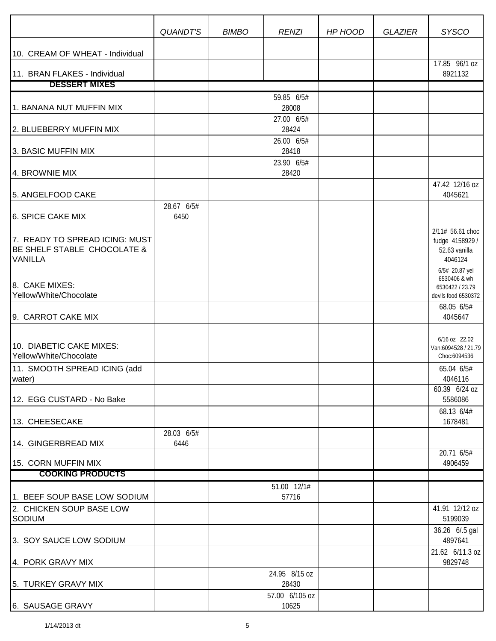|                                                                                 | <b>QUANDT'S</b>    | <b>BIMBO</b> | <b>RENZI</b>            | HP HOOD | <b>GLAZIER</b> | <b>SYSCO</b>                                                             |
|---------------------------------------------------------------------------------|--------------------|--------------|-------------------------|---------|----------------|--------------------------------------------------------------------------|
| 10. CREAM OF WHEAT - Individual                                                 |                    |              |                         |         |                |                                                                          |
| 11. BRAN FLAKES - Individual                                                    |                    |              |                         |         |                | 17.85 96/1 oz<br>8921132                                                 |
| <b>DESSERT MIXES</b>                                                            |                    |              |                         |         |                |                                                                          |
| 1. BANANA NUT MUFFIN MIX                                                        |                    |              | 59.85 6/5#<br>28008     |         |                |                                                                          |
| 2. BLUEBERRY MUFFIN MIX                                                         |                    |              | 27.00 6/5#<br>28424     |         |                |                                                                          |
| 3. BASIC MUFFIN MIX                                                             |                    |              | 26.00 6/5#<br>28418     |         |                |                                                                          |
| 4. BROWNIE MIX                                                                  |                    |              | 23.90 6/5#<br>28420     |         |                |                                                                          |
| 5. ANGELFOOD CAKE                                                               |                    |              |                         |         |                | 47.42 12/16 oz<br>4045621                                                |
| 6. SPICE CAKE MIX                                                               | 28.67 6/5#<br>6450 |              |                         |         |                |                                                                          |
| 7. READY TO SPREAD ICING: MUST<br>BE SHELF STABLE CHOCOLATE &<br><b>VANILLA</b> |                    |              |                         |         |                | 2/11# 56.61 choc<br>fudge 4158929 /<br>52.63 vanilla<br>4046124          |
| 8. CAKE MIXES:<br>Yellow/White/Chocolate                                        |                    |              |                         |         |                | 6/5# 20.87 yel<br>6530406 & wh<br>6530422 / 23.79<br>devils food 6530372 |
| 9. CARROT CAKE MIX                                                              |                    |              |                         |         |                | 68.05 6/5#<br>4045647                                                    |
| 10. DIABETIC CAKE MIXES:<br>Yellow/White/Chocolate                              |                    |              |                         |         |                | 6/16 oz 22.02<br>Van:6094528 / 21.79<br>Choc:6094536                     |
| 11. SMOOTH SPREAD ICING (add<br>water)                                          |                    |              |                         |         |                | 65.04 6/5#<br>4046116                                                    |
| 12. EGG CUSTARD - No Bake                                                       |                    |              |                         |         |                | 60.39 6/24 oz<br>5586086                                                 |
| 13. CHEESECAKE                                                                  | 28.03 6/5#         |              |                         |         |                | 68.13 6/4#<br>1678481                                                    |
| 14. GINGERBREAD MIX                                                             | 6446               |              |                         |         |                | 20.716/5#                                                                |
| 15. CORN MUFFIN MIX                                                             |                    |              |                         |         |                | 4906459                                                                  |
| <b>COOKING PRODUCTS</b>                                                         |                    |              |                         |         |                |                                                                          |
| 1. BEEF SOUP BASE LOW SODIUM                                                    |                    |              | 51.00 12/1#<br>57716    |         |                |                                                                          |
| 2. CHICKEN SOUP BASE LOW<br>SODIUM                                              |                    |              |                         |         |                | 41.91 12/12 oz<br>5199039                                                |
| 3. SOY SAUCE LOW SODIUM                                                         |                    |              |                         |         |                | 36.26 6/.5 gal<br>4897641                                                |
| 4. PORK GRAVY MIX                                                               |                    |              |                         |         |                | 21.62 6/11.3 oz<br>9829748                                               |
| 5. TURKEY GRAVY MIX                                                             |                    |              | 24.95 8/15 oz<br>28430  |         |                |                                                                          |
| 6. SAUSAGE GRAVY                                                                |                    |              | 57.00 6/105 oz<br>10625 |         |                |                                                                          |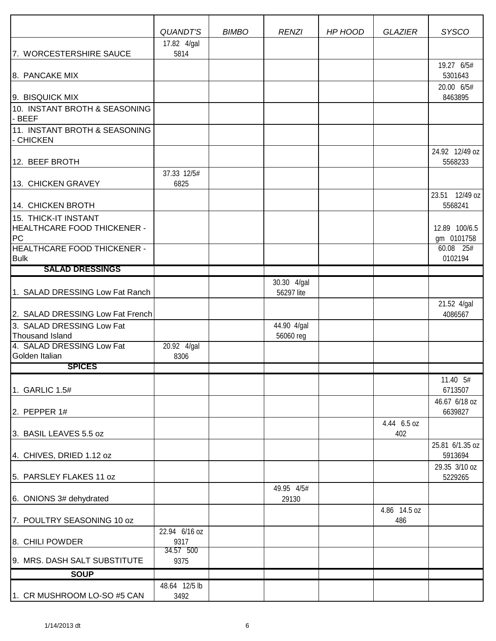|                                                                  | <b>QUANDT'S</b>       | <b>BIMBO</b> | <b>RENZI</b>              | HP HOOD | <b>GLAZIER</b>      | <b>SYSCO</b>                |
|------------------------------------------------------------------|-----------------------|--------------|---------------------------|---------|---------------------|-----------------------------|
|                                                                  | 17.82 4/gal           |              |                           |         |                     |                             |
| 7. WORCESTERSHIRE SAUCE                                          | 5814                  |              |                           |         |                     | 19.27 6/5#                  |
| 8. PANCAKE MIX                                                   |                       |              |                           |         |                     | 5301643                     |
| 9. BISQUICK MIX                                                  |                       |              |                           |         |                     | 20.00 6/5#<br>8463895       |
| 10. INSTANT BROTH & SEASONING<br>- BEEF                          |                       |              |                           |         |                     |                             |
| 11. INSTANT BROTH & SEASONING<br>- CHICKEN                       |                       |              |                           |         |                     |                             |
| 12. BEEF BROTH                                                   |                       |              |                           |         |                     | 24.92 12/49 oz<br>5568233   |
| 13. CHICKEN GRAVEY                                               | 37.33 12/5#<br>6825   |              |                           |         |                     |                             |
| 14. CHICKEN BROTH                                                |                       |              |                           |         |                     | 23.51 12/49 oz<br>5568241   |
| 15. THICK-IT INSTANT<br><b>HEALTHCARE FOOD THICKENER -</b><br>PC |                       |              |                           |         |                     | 12.89 100/6.5<br>gm 0101758 |
| <b>HEALTHCARE FOOD THICKENER -</b><br><b>Bulk</b>                |                       |              |                           |         |                     | 60.08 25#<br>0102194        |
| <b>SALAD DRESSINGS</b>                                           |                       |              |                           |         |                     |                             |
| 1. SALAD DRESSING Low Fat Ranch                                  |                       |              | 30.30 4/gal<br>56297 lite |         |                     |                             |
| 2. SALAD DRESSING Low Fat French                                 |                       |              |                           |         |                     | 21.52 4/gal<br>4086567      |
| 3. SALAD DRESSING Low Fat<br><b>Thousand Island</b>              |                       |              | 44.90 4/gal<br>56060 reg  |         |                     |                             |
| 4. SALAD DRESSING Low Fat<br>Golden Italian                      | 20.92 4/gal<br>8306   |              |                           |         |                     |                             |
| <b>SPICES</b>                                                    |                       |              |                           |         |                     |                             |
| 1. GARLIC 1.5#                                                   |                       |              |                           |         |                     | 11.40 5#<br>6713507         |
| 2. PEPPER $1#$                                                   |                       |              |                           |         |                     | 46.67 6/18 oz<br>6639827    |
| 3. BASIL LEAVES 5.5 oz                                           |                       |              |                           |         | 4.44 6.5 oz<br>402  |                             |
| 4. CHIVES, DRIED 1.12 oz                                         |                       |              |                           |         |                     | 25.81 6/1.35 oz<br>5913694  |
| 5. PARSLEY FLAKES 11 oz                                          |                       |              |                           |         |                     | 29.35 3/10 oz<br>5229265    |
| 6. ONIONS 3# dehydrated                                          |                       |              | 49.95 4/5#<br>29130       |         |                     |                             |
| 7. POULTRY SEASONING 10 oz                                       |                       |              |                           |         | 4.86 14.5 oz<br>486 |                             |
| 8. CHILI POWDER                                                  | 22.94 6/16 oz<br>9317 |              |                           |         |                     |                             |
| 9. MRS. DASH SALT SUBSTITUTE                                     | 34.57 500<br>9375     |              |                           |         |                     |                             |
| <b>SOUP</b>                                                      |                       |              |                           |         |                     |                             |
| 1. CR MUSHROOM LO-SO #5 CAN                                      | 48.64 12/5 lb<br>3492 |              |                           |         |                     |                             |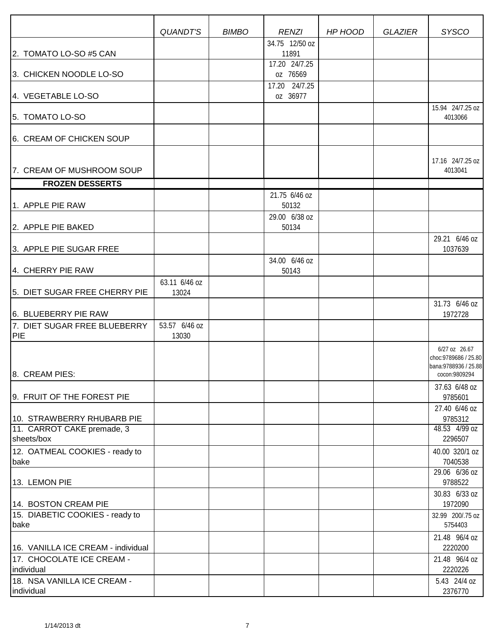|                                            | QUANDT'S               | <b>BIMBO</b> | <b>RENZI</b>                            | HP HOOD | <b>GLAZIER</b> | <b>SYSCO</b>                                                                     |
|--------------------------------------------|------------------------|--------------|-----------------------------------------|---------|----------------|----------------------------------------------------------------------------------|
|                                            |                        |              | 34.75 12/50 oz                          |         |                |                                                                                  |
| 2. TOMATO LO-SO #5 CAN                     |                        |              | 11891<br>17.20 24/7.25                  |         |                |                                                                                  |
| 3. CHICKEN NOODLE LO-SO                    |                        |              | oz 76569                                |         |                |                                                                                  |
| 4. VEGETABLE LO-SO                         |                        |              | 17.20 24/7.25<br>oz 36977               |         |                |                                                                                  |
| 5. TOMATO LO-SO                            |                        |              |                                         |         |                | 15.94 24/7.25 oz<br>4013066                                                      |
| 6. CREAM OF CHICKEN SOUP                   |                        |              |                                         |         |                |                                                                                  |
| 7. CREAM OF MUSHROOM SOUP                  |                        |              |                                         |         |                | 17.16 24/7.25 oz<br>4013041                                                      |
| <b>FROZEN DESSERTS</b>                     |                        |              |                                         |         |                |                                                                                  |
| 1. APPLE PIE RAW                           |                        |              | 21.75 6/46 oz<br>50132<br>29.00 6/38 oz |         |                |                                                                                  |
| 2. APPLE PIE BAKED                         |                        |              | 50134                                   |         |                |                                                                                  |
| 3. APPLE PIE SUGAR FREE                    |                        |              |                                         |         |                | 29.21 6/46 oz<br>1037639                                                         |
| 4. CHERRY PIE RAW                          |                        |              | 34.00 6/46 oz<br>50143                  |         |                |                                                                                  |
| 5. DIET SUGAR FREE CHERRY PIE              | 63.11 6/46 oz<br>13024 |              |                                         |         |                |                                                                                  |
| 6. BLUEBERRY PIE RAW                       |                        |              |                                         |         |                | 31.73 6/46 oz<br>1972728                                                         |
| 7. DIET SUGAR FREE BLUEBERRY<br><b>PIE</b> | 53.57 6/46 oz<br>13030 |              |                                         |         |                |                                                                                  |
| 8. CREAM PIES:                             |                        |              |                                         |         |                | 6/27 oz 26.67<br>choc: 9789686 / 25.80<br>bana: 9788936 / 25.88<br>cocon:9809294 |
| 9. FRUIT OF THE FOREST PIE                 |                        |              |                                         |         |                | 37.63 6/48 oz<br>9785601                                                         |
| 10. STRAWBERRY RHUBARB PIE                 |                        |              |                                         |         |                | 27.40 6/46 oz<br>9785312                                                         |
| 11. CARROT CAKE premade, 3<br>sheets/box   |                        |              |                                         |         |                | 48.53 4/99 oz<br>2296507                                                         |
| 12. OATMEAL COOKIES - ready to<br>bake     |                        |              |                                         |         |                | 40.00 320/1 oz<br>7040538                                                        |
| 13. LEMON PIE                              |                        |              |                                         |         |                | 29.06 6/36 oz<br>9788522                                                         |
| 14. BOSTON CREAM PIE                       |                        |              |                                         |         |                | 30.83 6/33 oz<br>1972090                                                         |
| 15. DIABETIC COOKIES - ready to<br>bake    |                        |              |                                         |         |                | 32.99 200/.75 oz<br>5754403                                                      |
| 16. VANILLA ICE CREAM - individual         |                        |              |                                         |         |                | 21.48 96/4 oz<br>2220200                                                         |
| 17. CHOCOLATE ICE CREAM -<br>individual    |                        |              |                                         |         |                | 21.48 96/4 oz<br>2220226                                                         |
| 18. NSA VANILLA ICE CREAM -<br>individual  |                        |              |                                         |         |                | 5.43 24/4 oz<br>2376770                                                          |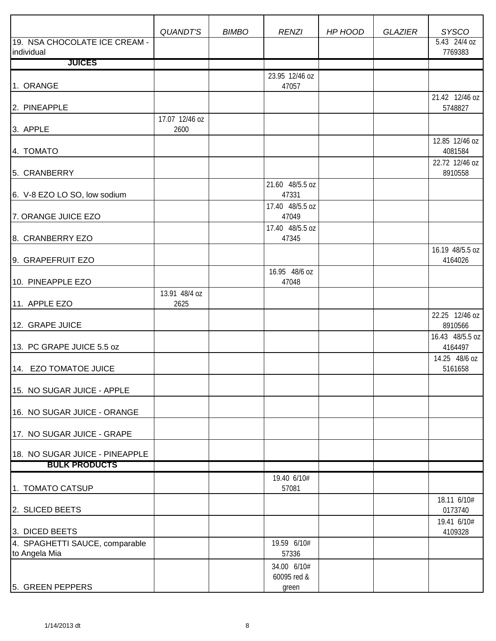|                                                 | <b>QUANDT'S</b>        | <b>BIMBO</b> | <b>RENZI</b>               | HP HOOD | <b>GLAZIER</b> | <b>SYSCO</b>               |
|-------------------------------------------------|------------------------|--------------|----------------------------|---------|----------------|----------------------------|
| 19. NSA CHOCOLATE ICE CREAM -<br>individual     |                        |              |                            |         |                | 5.43 24/4 oz<br>7769383    |
| <b>JUICES</b>                                   |                        |              |                            |         |                |                            |
|                                                 |                        |              | 23.95 12/46 oz             |         |                |                            |
| 1. ORANGE                                       |                        |              | 47057                      |         |                |                            |
| 2. PINEAPPLE                                    |                        |              |                            |         |                | 21.42 12/46 oz<br>5748827  |
| 3. APPLE                                        | 17.07 12/46 oz<br>2600 |              |                            |         |                |                            |
| 4. TOMATO                                       |                        |              |                            |         |                | 12.85 12/46 oz<br>4081584  |
| 5. CRANBERRY                                    |                        |              |                            |         |                | 22.72 12/46 oz<br>8910558  |
| 6. V-8 EZO LO SO, low sodium                    |                        |              | 21.60 48/5.5 oz<br>47331   |         |                |                            |
| 7. ORANGE JUICE EZO                             |                        |              | 17.40 48/5.5 oz<br>47049   |         |                |                            |
| 8. CRANBERRY EZO                                |                        |              | 17.40 48/5.5 oz<br>47345   |         |                |                            |
| 9. GRAPEFRUIT EZO                               |                        |              |                            |         |                | 16.19 48/5.5 oz<br>4164026 |
| 10. PINEAPPLE EZO                               |                        |              | 16.95 48/6 oz<br>47048     |         |                |                            |
| 11. APPLE EZO                                   | 13.91 48/4 oz<br>2625  |              |                            |         |                |                            |
| 12. GRAPE JUICE                                 |                        |              |                            |         |                | 22.25 12/46 oz<br>8910566  |
| 13. PC GRAPE JUICE 5.5 oz                       |                        |              |                            |         |                | 16.43 48/5.5 oz<br>4164497 |
| 14. EZO TOMATOE JUICE                           |                        |              |                            |         |                | 14.25 48/6 oz<br>5161658   |
| 15. NO SUGAR JUICE - APPLE                      |                        |              |                            |         |                |                            |
| 16. NO SUGAR JUICE - ORANGE                     |                        |              |                            |         |                |                            |
| 17. NO SUGAR JUICE - GRAPE                      |                        |              |                            |         |                |                            |
| 18. NO SUGAR JUICE - PINEAPPLE                  |                        |              |                            |         |                |                            |
| <b>BULK PRODUCTS</b>                            |                        |              |                            |         |                |                            |
| 1. TOMATO CATSUP                                |                        |              | 19.40 6/10#<br>57081       |         |                |                            |
| 2. SLICED BEETS                                 |                        |              |                            |         |                | 18.11 6/10#<br>0173740     |
| 3. DICED BEETS                                  |                        |              |                            |         |                | 19.41 6/10#<br>4109328     |
| 4. SPAGHETTI SAUCE, comparable<br>to Angela Mia |                        |              | 19.59 6/10#<br>57336       |         |                |                            |
|                                                 |                        |              | 34.00 6/10#<br>60095 red & |         |                |                            |
| 5. GREEN PEPPERS                                |                        |              | green                      |         |                |                            |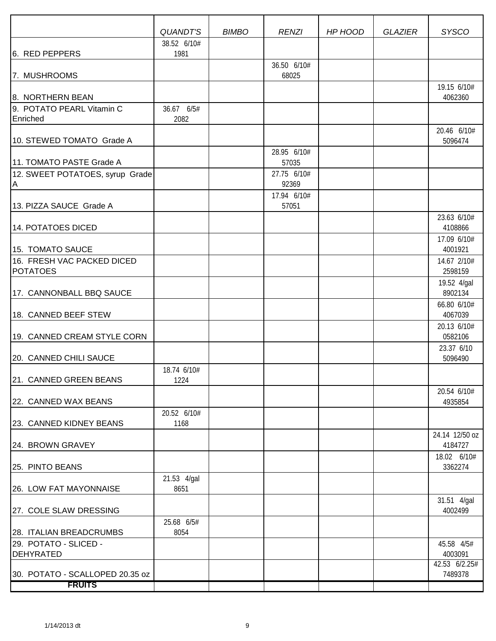|                                 | QUANDT'S            | <b>BIMBO</b> | <b>RENZI</b>         | HP HOOD | <b>GLAZIER</b> | <b>SYSCO</b>               |
|---------------------------------|---------------------|--------------|----------------------|---------|----------------|----------------------------|
|                                 | 38.52 6/10#         |              |                      |         |                |                            |
| 6. RED PEPPERS                  | 1981                |              |                      |         |                |                            |
| 7. MUSHROOMS                    |                     |              | 36.50 6/10#<br>68025 |         |                |                            |
|                                 |                     |              |                      |         |                | 19.15 6/10#                |
| 8. NORTHERN BEAN                |                     |              |                      |         |                | 4062360                    |
| 9. POTATO PEARL Vitamin C       | 36.67 6/5#          |              |                      |         |                |                            |
| Enriched                        | 2082                |              |                      |         |                |                            |
| 10. STEWED TOMATO Grade A       |                     |              |                      |         |                | 20.46 6/10#<br>5096474     |
|                                 |                     |              | 28.95 6/10#          |         |                |                            |
| 11. TOMATO PASTE Grade A        |                     |              | 57035                |         |                |                            |
| 12. SWEET POTATOES, syrup Grade |                     |              | 27.75 6/10#          |         |                |                            |
| A                               |                     |              | 92369                |         |                |                            |
|                                 |                     |              | 17.94 6/10#          |         |                |                            |
| 13. PIZZA SAUCE Grade A         |                     |              | 57051                |         |                | 23.63 6/10#                |
| 14. POTATOES DICED              |                     |              |                      |         |                | 4108866                    |
|                                 |                     |              |                      |         |                | 17.09 6/10#                |
| 15. TOMATO SAUCE                |                     |              |                      |         |                | 4001921                    |
| 16. FRESH VAC PACKED DICED      |                     |              |                      |         |                | 14.67 2/10#                |
| <b>POTATOES</b>                 |                     |              |                      |         |                | 2598159                    |
| 17. CANNONBALL BBQ SAUCE        |                     |              |                      |         |                | 19.52 4/gal<br>8902134     |
|                                 |                     |              |                      |         |                | 66.80 6/10#                |
| 18. CANNED BEEF STEW            |                     |              |                      |         |                | 4067039                    |
|                                 |                     |              |                      |         |                | 20.13 6/10#                |
| 19. CANNED CREAM STYLE CORN     |                     |              |                      |         |                | 0582106                    |
| 20. CANNED CHILI SAUCE          |                     |              |                      |         |                | 23.37 6/10<br>5096490      |
|                                 | 18.74 6/10#         |              |                      |         |                |                            |
| 21. CANNED GREEN BEANS          | 1224                |              |                      |         |                |                            |
|                                 |                     |              |                      |         |                | 20.54 6/10#                |
| 22. CANNED WAX BEANS            |                     |              |                      |         |                | 4935854                    |
| 23. CANNED KIDNEY BEANS         | 20.52 6/10#<br>1168 |              |                      |         |                |                            |
|                                 |                     |              |                      |         |                | 24.14 12/50 oz             |
| 24. BROWN GRAVEY                |                     |              |                      |         |                | 4184727                    |
|                                 |                     |              |                      |         |                | 18.02 6/10#                |
| 25. PINTO BEANS                 |                     |              |                      |         |                | 3362274                    |
| 26. LOW FAT MAYONNAISE          | 21.53 4/gal<br>8651 |              |                      |         |                |                            |
|                                 |                     |              |                      |         |                | 31.51 4/gal                |
| 27. COLE SLAW DRESSING          |                     |              |                      |         |                | 4002499                    |
|                                 | 25.68 6/5#          |              |                      |         |                |                            |
| 28. ITALIAN BREADCRUMBS         | 8054                |              |                      |         |                |                            |
| 29. POTATO - SLICED -           |                     |              |                      |         |                | 45.58 4/5#                 |
| <b>DEHYRATED</b>                |                     |              |                      |         |                | 4003091<br>$42.53$ 6/2.25# |
| 30. POTATO - SCALLOPED 20.35 oz |                     |              |                      |         |                | 7489378                    |
| <b>FRUITS</b>                   |                     |              |                      |         |                |                            |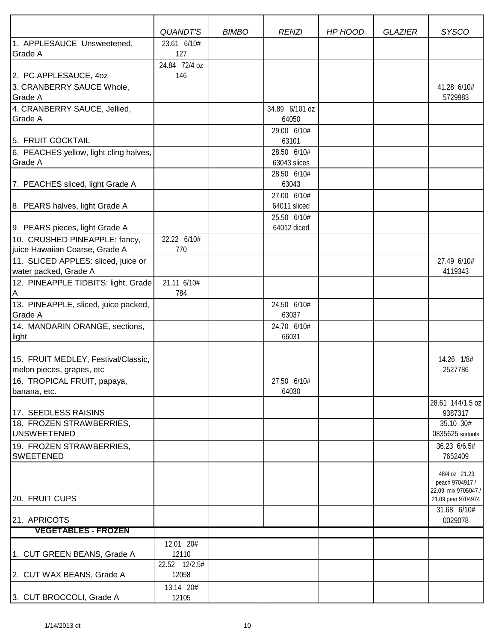| 23.61 6/10#<br>127<br>24.84 72/4 oz<br>146<br>2. PC APPLESAUCE, 40Z<br>3. CRANBERRY SAUCE Whole,<br>41.28 6/10#<br><b>Grade A</b><br>5729983<br>34.89 6/101 oz<br>64050<br>29.00 6/10#<br>5. FRUIT COCKTAIL<br>63101<br>28.50 6/10#<br>6. PEACHES yellow, light cling halves,<br>Grade A<br>63043 slices<br>28.50 6/10#<br>63043<br>27.00 6/10#<br>64011 sliced<br>8. PEARS halves, light Grade A<br>25.50 6/10#<br>9. PEARS pieces, light Grade A<br>64012 diced<br>10. CRUSHED PINEAPPLE: fancy,<br>22.22 6/10#<br>770<br>27.49 6/10#<br>4119343<br>21.11 6/10#<br>784<br>24.50 6/10#<br>Grade A<br>63037<br>24.70 6/10#<br>14. MANDARIN ORANGE, sections,<br>66031<br>light<br>14.26 1/8#<br>2527786<br>27.50 6/10#<br>64030<br>banana, etc.<br>28.61 144/1.5 oz<br>17. SEEDLESS RAISINS<br>9387317<br>35.10 30#<br>18. FROZEN STRAWBERRIES,<br>0835625 sortouts<br>36.23 6/6.5#<br><b>SWEETENED</b><br>7652409<br>48/4 oz 21.23<br>peach 9704917/<br>22.09 mix 9705047 /<br>20. FRUIT CUPS<br>21.09 pear 9704974<br>31.68 6/10#<br>0029078<br><b>VEGETABLES - FROZEN</b><br>12.01 20#<br>12110<br>22.52 12/2.5# |                                          | QUANDT'S | <b>BIMBO</b> | <b>RENZI</b> | HP HOOD | <b>GLAZIER</b> | <b>SYSCO</b> |
|---------------------------------------------------------------------------------------------------------------------------------------------------------------------------------------------------------------------------------------------------------------------------------------------------------------------------------------------------------------------------------------------------------------------------------------------------------------------------------------------------------------------------------------------------------------------------------------------------------------------------------------------------------------------------------------------------------------------------------------------------------------------------------------------------------------------------------------------------------------------------------------------------------------------------------------------------------------------------------------------------------------------------------------------------------------------------------------------------------------------|------------------------------------------|----------|--------------|--------------|---------|----------------|--------------|
|                                                                                                                                                                                                                                                                                                                                                                                                                                                                                                                                                                                                                                                                                                                                                                                                                                                                                                                                                                                                                                                                                                                     | 1. APPLESAUCE Unsweetened,               |          |              |              |         |                |              |
|                                                                                                                                                                                                                                                                                                                                                                                                                                                                                                                                                                                                                                                                                                                                                                                                                                                                                                                                                                                                                                                                                                                     | <b>Grade A</b>                           |          |              |              |         |                |              |
|                                                                                                                                                                                                                                                                                                                                                                                                                                                                                                                                                                                                                                                                                                                                                                                                                                                                                                                                                                                                                                                                                                                     |                                          |          |              |              |         |                |              |
|                                                                                                                                                                                                                                                                                                                                                                                                                                                                                                                                                                                                                                                                                                                                                                                                                                                                                                                                                                                                                                                                                                                     |                                          |          |              |              |         |                |              |
|                                                                                                                                                                                                                                                                                                                                                                                                                                                                                                                                                                                                                                                                                                                                                                                                                                                                                                                                                                                                                                                                                                                     |                                          |          |              |              |         |                |              |
|                                                                                                                                                                                                                                                                                                                                                                                                                                                                                                                                                                                                                                                                                                                                                                                                                                                                                                                                                                                                                                                                                                                     | 4. CRANBERRY SAUCE, Jellied,             |          |              |              |         |                |              |
|                                                                                                                                                                                                                                                                                                                                                                                                                                                                                                                                                                                                                                                                                                                                                                                                                                                                                                                                                                                                                                                                                                                     | <b>Grade A</b>                           |          |              |              |         |                |              |
|                                                                                                                                                                                                                                                                                                                                                                                                                                                                                                                                                                                                                                                                                                                                                                                                                                                                                                                                                                                                                                                                                                                     |                                          |          |              |              |         |                |              |
|                                                                                                                                                                                                                                                                                                                                                                                                                                                                                                                                                                                                                                                                                                                                                                                                                                                                                                                                                                                                                                                                                                                     |                                          |          |              |              |         |                |              |
|                                                                                                                                                                                                                                                                                                                                                                                                                                                                                                                                                                                                                                                                                                                                                                                                                                                                                                                                                                                                                                                                                                                     |                                          |          |              |              |         |                |              |
|                                                                                                                                                                                                                                                                                                                                                                                                                                                                                                                                                                                                                                                                                                                                                                                                                                                                                                                                                                                                                                                                                                                     |                                          |          |              |              |         |                |              |
|                                                                                                                                                                                                                                                                                                                                                                                                                                                                                                                                                                                                                                                                                                                                                                                                                                                                                                                                                                                                                                                                                                                     | 7. PEACHES sliced, light Grade A         |          |              |              |         |                |              |
|                                                                                                                                                                                                                                                                                                                                                                                                                                                                                                                                                                                                                                                                                                                                                                                                                                                                                                                                                                                                                                                                                                                     |                                          |          |              |              |         |                |              |
|                                                                                                                                                                                                                                                                                                                                                                                                                                                                                                                                                                                                                                                                                                                                                                                                                                                                                                                                                                                                                                                                                                                     |                                          |          |              |              |         |                |              |
|                                                                                                                                                                                                                                                                                                                                                                                                                                                                                                                                                                                                                                                                                                                                                                                                                                                                                                                                                                                                                                                                                                                     |                                          |          |              |              |         |                |              |
|                                                                                                                                                                                                                                                                                                                                                                                                                                                                                                                                                                                                                                                                                                                                                                                                                                                                                                                                                                                                                                                                                                                     |                                          |          |              |              |         |                |              |
|                                                                                                                                                                                                                                                                                                                                                                                                                                                                                                                                                                                                                                                                                                                                                                                                                                                                                                                                                                                                                                                                                                                     | juice Hawaiian Coarse, Grade A           |          |              |              |         |                |              |
|                                                                                                                                                                                                                                                                                                                                                                                                                                                                                                                                                                                                                                                                                                                                                                                                                                                                                                                                                                                                                                                                                                                     | 11. SLICED APPLES: sliced, juice or      |          |              |              |         |                |              |
|                                                                                                                                                                                                                                                                                                                                                                                                                                                                                                                                                                                                                                                                                                                                                                                                                                                                                                                                                                                                                                                                                                                     | water packed, Grade A                    |          |              |              |         |                |              |
|                                                                                                                                                                                                                                                                                                                                                                                                                                                                                                                                                                                                                                                                                                                                                                                                                                                                                                                                                                                                                                                                                                                     | 12. PINEAPPLE TIDBITS: light, Grade<br>Α |          |              |              |         |                |              |
|                                                                                                                                                                                                                                                                                                                                                                                                                                                                                                                                                                                                                                                                                                                                                                                                                                                                                                                                                                                                                                                                                                                     | 13. PINEAPPLE, sliced, juice packed,     |          |              |              |         |                |              |
|                                                                                                                                                                                                                                                                                                                                                                                                                                                                                                                                                                                                                                                                                                                                                                                                                                                                                                                                                                                                                                                                                                                     |                                          |          |              |              |         |                |              |
|                                                                                                                                                                                                                                                                                                                                                                                                                                                                                                                                                                                                                                                                                                                                                                                                                                                                                                                                                                                                                                                                                                                     |                                          |          |              |              |         |                |              |
|                                                                                                                                                                                                                                                                                                                                                                                                                                                                                                                                                                                                                                                                                                                                                                                                                                                                                                                                                                                                                                                                                                                     |                                          |          |              |              |         |                |              |
|                                                                                                                                                                                                                                                                                                                                                                                                                                                                                                                                                                                                                                                                                                                                                                                                                                                                                                                                                                                                                                                                                                                     | 15. FRUIT MEDLEY, Festival/Classic,      |          |              |              |         |                |              |
|                                                                                                                                                                                                                                                                                                                                                                                                                                                                                                                                                                                                                                                                                                                                                                                                                                                                                                                                                                                                                                                                                                                     | melon pieces, grapes, etc                |          |              |              |         |                |              |
|                                                                                                                                                                                                                                                                                                                                                                                                                                                                                                                                                                                                                                                                                                                                                                                                                                                                                                                                                                                                                                                                                                                     | 16. TROPICAL FRUIT, papaya,              |          |              |              |         |                |              |
|                                                                                                                                                                                                                                                                                                                                                                                                                                                                                                                                                                                                                                                                                                                                                                                                                                                                                                                                                                                                                                                                                                                     |                                          |          |              |              |         |                |              |
|                                                                                                                                                                                                                                                                                                                                                                                                                                                                                                                                                                                                                                                                                                                                                                                                                                                                                                                                                                                                                                                                                                                     |                                          |          |              |              |         |                |              |
|                                                                                                                                                                                                                                                                                                                                                                                                                                                                                                                                                                                                                                                                                                                                                                                                                                                                                                                                                                                                                                                                                                                     |                                          |          |              |              |         |                |              |
|                                                                                                                                                                                                                                                                                                                                                                                                                                                                                                                                                                                                                                                                                                                                                                                                                                                                                                                                                                                                                                                                                                                     | <b>UNSWEETENED</b>                       |          |              |              |         |                |              |
|                                                                                                                                                                                                                                                                                                                                                                                                                                                                                                                                                                                                                                                                                                                                                                                                                                                                                                                                                                                                                                                                                                                     | 19. FROZEN STRAWBERRIES,                 |          |              |              |         |                |              |
|                                                                                                                                                                                                                                                                                                                                                                                                                                                                                                                                                                                                                                                                                                                                                                                                                                                                                                                                                                                                                                                                                                                     |                                          |          |              |              |         |                |              |
|                                                                                                                                                                                                                                                                                                                                                                                                                                                                                                                                                                                                                                                                                                                                                                                                                                                                                                                                                                                                                                                                                                                     |                                          |          |              |              |         |                |              |
|                                                                                                                                                                                                                                                                                                                                                                                                                                                                                                                                                                                                                                                                                                                                                                                                                                                                                                                                                                                                                                                                                                                     |                                          |          |              |              |         |                |              |
|                                                                                                                                                                                                                                                                                                                                                                                                                                                                                                                                                                                                                                                                                                                                                                                                                                                                                                                                                                                                                                                                                                                     |                                          |          |              |              |         |                |              |
|                                                                                                                                                                                                                                                                                                                                                                                                                                                                                                                                                                                                                                                                                                                                                                                                                                                                                                                                                                                                                                                                                                                     | 21. APRICOTS                             |          |              |              |         |                |              |
|                                                                                                                                                                                                                                                                                                                                                                                                                                                                                                                                                                                                                                                                                                                                                                                                                                                                                                                                                                                                                                                                                                                     |                                          |          |              |              |         |                |              |
|                                                                                                                                                                                                                                                                                                                                                                                                                                                                                                                                                                                                                                                                                                                                                                                                                                                                                                                                                                                                                                                                                                                     |                                          |          |              |              |         |                |              |
|                                                                                                                                                                                                                                                                                                                                                                                                                                                                                                                                                                                                                                                                                                                                                                                                                                                                                                                                                                                                                                                                                                                     | 1. CUT GREEN BEANS, Grade A              |          |              |              |         |                |              |
|                                                                                                                                                                                                                                                                                                                                                                                                                                                                                                                                                                                                                                                                                                                                                                                                                                                                                                                                                                                                                                                                                                                     | 2. CUT WAX BEANS, Grade A                | 12058    |              |              |         |                |              |
| 13.14 20#<br>12105                                                                                                                                                                                                                                                                                                                                                                                                                                                                                                                                                                                                                                                                                                                                                                                                                                                                                                                                                                                                                                                                                                  | 3. CUT BROCCOLI, Grade A                 |          |              |              |         |                |              |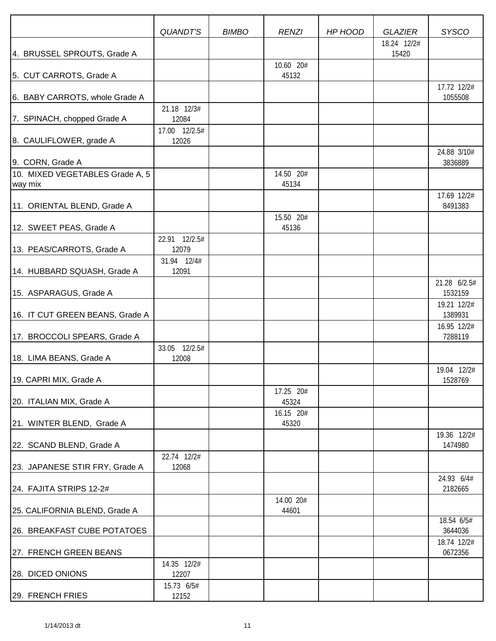|                                            | <b>QUANDT'S</b>        | <b>BIMBO</b> | <b>RENZI</b>       | HP HOOD | <b>GLAZIER</b>       | <b>SYSCO</b>            |
|--------------------------------------------|------------------------|--------------|--------------------|---------|----------------------|-------------------------|
| 4. BRUSSEL SPROUTS, Grade A                |                        |              | 10.60 20#          |         | 18.24 12/2#<br>15420 |                         |
| 5. CUT CARROTS, Grade A                    |                        |              | 45132              |         |                      |                         |
| 6. BABY CARROTS, whole Grade A             |                        |              |                    |         |                      | 17.72 12/2#<br>1055508  |
| 7. SPINACH, chopped Grade A                | 21.18 12/3#<br>12084   |              |                    |         |                      |                         |
| 8. CAULIFLOWER, grade A                    | 17.00 12/2.5#<br>12026 |              |                    |         |                      |                         |
| 9. CORN, Grade A                           |                        |              |                    |         |                      | 24.88 3/10#<br>3836889  |
| 10. MIXED VEGETABLES Grade A, 5<br>way mix |                        |              | 14.50 20#<br>45134 |         |                      |                         |
| 11. ORIENTAL BLEND, Grade A                |                        |              |                    |         |                      | 17.69 12/2#<br>8491383  |
| 12. SWEET PEAS, Grade A                    |                        |              | 15.50 20#<br>45136 |         |                      |                         |
| 13. PEAS/CARROTS, Grade A                  | 22.91 12/2.5#<br>12079 |              |                    |         |                      |                         |
| 14. HUBBARD SQUASH, Grade A                | 31.94 12/4#<br>12091   |              |                    |         |                      |                         |
| 15. ASPARAGUS, Grade A                     |                        |              |                    |         |                      | 21.28 6/2.5#<br>1532159 |
| 16. IT CUT GREEN BEANS, Grade A            |                        |              |                    |         |                      | 19.21 12/2#<br>1389931  |
| 17. BROCCOLI SPEARS, Grade A               |                        |              |                    |         |                      | 16.95 12/2#<br>7288119  |
| 18. LIMA BEANS, Grade A                    | 33.05 12/2.5#<br>12008 |              |                    |         |                      |                         |
| 19. CAPRI MIX, Grade A                     |                        |              |                    |         |                      | 19.04 12/2#<br>1528769  |
| 20. ITALIAN MIX, Grade A                   |                        |              | 17.25 20#<br>45324 |         |                      |                         |
| 21. WINTER BLEND, Grade A                  |                        |              | 16.15 20#<br>45320 |         |                      |                         |
| 22. SCAND BLEND, Grade A                   |                        |              |                    |         |                      | 19.36 12/2#<br>1474980  |
| 23. JAPANESE STIR FRY, Grade A             | 22.74 12/2#<br>12068   |              |                    |         |                      |                         |
| 24. FAJITA STRIPS 12-2#                    |                        |              |                    |         |                      | 24.93 6/4#<br>2182665   |
| 25. CALIFORNIA BLEND, Grade A              |                        |              | 14.00 20#<br>44601 |         |                      |                         |
| 26. BREAKFAST CUBE POTATOES                |                        |              |                    |         |                      | 18.54 6/5#<br>3644036   |
| 27. FRENCH GREEN BEANS                     |                        |              |                    |         |                      | 18.74 12/2#<br>0672356  |
| 28. DICED ONIONS                           | 14.35 12/2#<br>12207   |              |                    |         |                      |                         |
| 29. FRENCH FRIES                           | 15.73 6/5#<br>12152    |              |                    |         |                      |                         |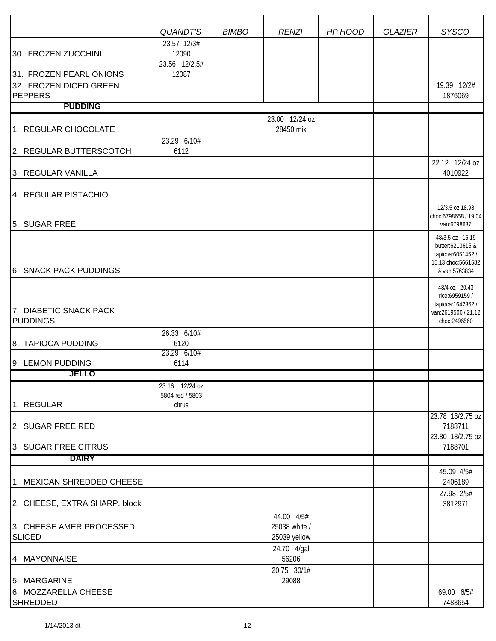|                                           | <b>QUANDT'S</b>                             | <b>BIMBO</b> | <b>RENZI</b>                                | HP HOOD | <b>GLAZIER</b> | <b>SYSCO</b>                                                                                   |
|-------------------------------------------|---------------------------------------------|--------------|---------------------------------------------|---------|----------------|------------------------------------------------------------------------------------------------|
|                                           | 23.57 12/3#                                 |              |                                             |         |                |                                                                                                |
| 30. FROZEN ZUCCHINI                       | 12090<br>23.56 12/2.5#                      |              |                                             |         |                |                                                                                                |
| 31. FROZEN PEARL ONIONS                   | 12087                                       |              |                                             |         |                |                                                                                                |
| 32. FROZEN DICED GREEN<br><b>PEPPERS</b>  |                                             |              |                                             |         |                | 19.39 12/2#<br>1876069                                                                         |
| <b>PUDDING</b>                            |                                             |              |                                             |         |                |                                                                                                |
| 1. REGULAR CHOCOLATE                      |                                             |              | 23.00 12/24 oz<br>28450 mix                 |         |                |                                                                                                |
| 2. REGULAR BUTTERSCOTCH                   | 23.29 6/10#<br>6112                         |              |                                             |         |                |                                                                                                |
| 3. REGULAR VANILLA                        |                                             |              |                                             |         |                | 22.12 12/24 oz<br>4010922                                                                      |
| 4. REGULAR PISTACHIO                      |                                             |              |                                             |         |                |                                                                                                |
| 5. SUGAR FREE                             |                                             |              |                                             |         |                | 12/3.5 oz 18.98<br>choc:6798658 / 19.04<br>van:6798637                                         |
| 6. SNACK PACK PUDDINGS                    |                                             |              |                                             |         |                | 48/3.5 oz 15.19<br>butter:6213615 &<br>tapicoa:6051452/<br>15.13 choc:5661582<br>& van:5763834 |
| 7. DIABETIC SNACK PACK<br><b>PUDDINGS</b> |                                             |              |                                             |         |                | 48/4 oz 20.43<br>rice:6959159 /<br>tapioca: 1642362 /<br>van:2619500 / 21.12<br>choc:2496560   |
| 8. TAPIOCA PUDDING                        | 26.33 6/10#<br>6120<br>23.29 6/10#          |              |                                             |         |                |                                                                                                |
| 9. LEMON PUDDING                          | 6114                                        |              |                                             |         |                |                                                                                                |
| JELLO                                     |                                             |              |                                             |         |                |                                                                                                |
| 1. REGULAR                                | 23.16 12/24 oz<br>5804 red / 5803<br>citrus |              |                                             |         |                |                                                                                                |
| 2. SUGAR FREE RED                         |                                             |              |                                             |         |                | 23.78 18/2.75 oz<br>7188711                                                                    |
| 3. SUGAR FREE CITRUS                      |                                             |              |                                             |         |                | 23.80 18/2.75 oz<br>7188701                                                                    |
| <b>DAIRY</b>                              |                                             |              |                                             |         |                |                                                                                                |
| 1. MEXICAN SHREDDED CHEESE                |                                             |              |                                             |         |                | 45.09 4/5#<br>2406189                                                                          |
| 2. CHEESE, EXTRA SHARP, block             |                                             |              |                                             |         |                | 27.98 2/5#<br>3812971                                                                          |
| 3. CHEESE AMER PROCESSED<br><b>SLICED</b> |                                             |              | 44.00 4/5#<br>25038 white /<br>25039 yellow |         |                |                                                                                                |
| 4. MAYONNAISE                             |                                             |              | 24.70 4/gal<br>56206                        |         |                |                                                                                                |
| 5. MARGARINE                              |                                             |              | 20.75 30/1#<br>29088                        |         |                |                                                                                                |
| 6. MOZZARELLA CHEESE<br><b>SHREDDED</b>   |                                             |              |                                             |         |                | 69.00 6/5#<br>7483654                                                                          |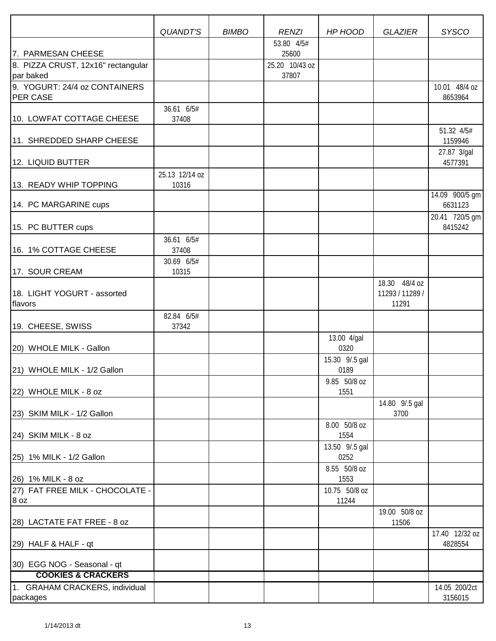|                                                                       | QUANDT'S                | <b>BIMBO</b> | <b>RENZI</b>                                   | HP HOOD                | <b>GLAZIER</b>                            | <b>SYSCO</b>              |
|-----------------------------------------------------------------------|-------------------------|--------------|------------------------------------------------|------------------------|-------------------------------------------|---------------------------|
| 7. PARMESAN CHEESE<br>8. PIZZA CRUST, 12x16" rectangular<br>par baked |                         |              | 53.80 4/5#<br>25600<br>25.20 10/43 oz<br>37807 |                        |                                           |                           |
| 9. YOGURT: 24/4 oz CONTAINERS<br><b>PER CASE</b>                      |                         |              |                                                |                        |                                           | 10.01 48/4 oz<br>8653964  |
| 10. LOWFAT COTTAGE CHEESE                                             | 36.61 6/5#<br>37408     |              |                                                |                        |                                           |                           |
| 11. SHREDDED SHARP CHEESE                                             |                         |              |                                                |                        |                                           | 51.32 4/5#<br>1159946     |
| 12. LIQUID BUTTER                                                     |                         |              |                                                |                        |                                           | 27.87 3/gal<br>4577391    |
| 13. READY WHIP TOPPING                                                | 25.13 12/14 oz<br>10316 |              |                                                |                        |                                           |                           |
| 14. PC MARGARINE cups                                                 |                         |              |                                                |                        |                                           | 14.09 900/5 gm<br>6631123 |
| 15. PC BUTTER cups                                                    |                         |              |                                                |                        |                                           | 20.41 720/5 gm<br>8415242 |
| 16. 1% COTTAGE CHEESE                                                 | 36.61 6/5#<br>37408     |              |                                                |                        |                                           |                           |
| 17. SOUR CREAM                                                        | 30.69 6/5#<br>10315     |              |                                                |                        |                                           |                           |
| 18. LIGHT YOGURT - assorted<br>flavors                                |                         |              |                                                |                        | 18.30 48/4 oz<br>11293 / 11289 /<br>11291 |                           |
| 19. CHEESE, SWISS                                                     | 82.84 6/5#<br>37342     |              |                                                |                        |                                           |                           |
| 20) WHOLE MILK - Gallon                                               |                         |              |                                                | 13.00 4/gal<br>0320    |                                           |                           |
| 21) WHOLE MILK - 1/2 Gallon                                           |                         |              |                                                | 15.30 9/.5 gal<br>0189 |                                           |                           |
| 22) WHOLE MILK - 8 oz                                                 |                         |              |                                                | 9.85 50/8 oz<br>1551   |                                           |                           |
| 23) SKIM MILK - 1/2 Gallon                                            |                         |              |                                                |                        | 14.80 9/.5 gal<br>3700                    |                           |
| 24) SKIM MILK - 8 oz                                                  |                         |              |                                                | 8.00 50/8 oz<br>1554   |                                           |                           |
| 25) 1% MILK - 1/2 Gallon                                              |                         |              |                                                | 13.50 9/.5 gal<br>0252 |                                           |                           |
| 26) 1% MILK - 8 oz                                                    |                         |              |                                                | 8.55 50/8 oz<br>1553   |                                           |                           |
| 27) FAT FREE MILK - CHOCOLATE -<br>8 oz                               |                         |              |                                                | 10.75 50/8 oz<br>11244 |                                           |                           |
| 28) LACTATE FAT FREE - 8 oz                                           |                         |              |                                                |                        | 19.00 50/8 oz<br>11506                    |                           |
| 29) HALF & HALF - qt                                                  |                         |              |                                                |                        |                                           | 17.40 12/32 oz<br>4828554 |
| 30) EGG NOG - Seasonal - qt                                           |                         |              |                                                |                        |                                           |                           |
| <b>COOKIES &amp; CRACKERS</b>                                         |                         |              |                                                |                        |                                           |                           |
| 1. GRAHAM CRACKERS, individual<br>packages                            |                         |              |                                                |                        |                                           | 14.05 200/2ct<br>3156015  |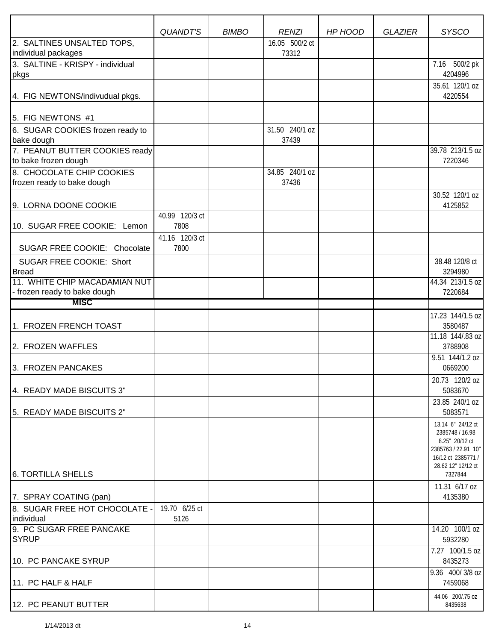|                                                        | <b>QUANDT'S</b>        | <b>BIMBO</b> | <b>RENZI</b>            | HP HOOD | <b>GLAZIER</b> | <b>SYSCO</b>                                                                                                                         |
|--------------------------------------------------------|------------------------|--------------|-------------------------|---------|----------------|--------------------------------------------------------------------------------------------------------------------------------------|
| 2. SALTINES UNSALTED TOPS,                             |                        |              | 16.05 500/2 ct          |         |                |                                                                                                                                      |
| individual packages                                    |                        |              | 73312                   |         |                |                                                                                                                                      |
| 3. SALTINE - KRISPY - individual<br>pkgs               |                        |              |                         |         |                | 7.16 500/2 pk<br>4204996                                                                                                             |
|                                                        |                        |              |                         |         |                | 35.61 120/1 oz                                                                                                                       |
| 4. FIG NEWTONS/indivudual pkgs.                        |                        |              |                         |         |                | 4220554                                                                                                                              |
| 5. FIG NEWTONS #1                                      |                        |              |                         |         |                |                                                                                                                                      |
| 6. SUGAR COOKIES frozen ready to<br>bake dough         |                        |              | 31.50 240/1 oz<br>37439 |         |                |                                                                                                                                      |
| 7. PEANUT BUTTER COOKIES ready<br>to bake frozen dough |                        |              |                         |         |                | 39.78 213/1.5 oz<br>7220346                                                                                                          |
| 8. CHOCOLATE CHIP COOKIES                              |                        |              | 34.85 240/1 oz          |         |                |                                                                                                                                      |
| frozen ready to bake dough                             |                        |              | 37436                   |         |                |                                                                                                                                      |
| 9. LORNA DOONE COOKIE                                  |                        |              |                         |         |                | 30.52 120/1 oz<br>4125852                                                                                                            |
|                                                        | 40.99 120/3 ct         |              |                         |         |                |                                                                                                                                      |
| 10. SUGAR FREE COOKIE: Lemon                           | 7808                   |              |                         |         |                |                                                                                                                                      |
| SUGAR FREE COOKIE: Chocolate                           | 41.16 120/3 ct<br>7800 |              |                         |         |                |                                                                                                                                      |
| SUGAR FREE COOKIE: Short                               |                        |              |                         |         |                | 38.48 120/8 ct                                                                                                                       |
| <b>Bread</b>                                           |                        |              |                         |         |                | 3294980                                                                                                                              |
| 11. WHITE CHIP MACADAMIAN NUT                          |                        |              |                         |         |                | 44.34 213/1.5 oz                                                                                                                     |
| - frozen ready to bake dough                           |                        |              |                         |         |                | 7220684                                                                                                                              |
| <b>MISC</b>                                            |                        |              |                         |         |                |                                                                                                                                      |
| 1. FROZEN FRENCH TOAST                                 |                        |              |                         |         |                | 17.23 144/1.5 oz<br>3580487                                                                                                          |
| 2. FROZEN WAFFLES                                      |                        |              |                         |         |                | 11.18 144/.83 oz<br>3788908                                                                                                          |
| 3. FROZEN PANCAKES                                     |                        |              |                         |         |                | 9.51 144/1.2 oz<br>0669200                                                                                                           |
| 4. READY MADE BISCUITS 3"                              |                        |              |                         |         |                | 20.73 120/2 oz<br>5083670                                                                                                            |
| 5. READY MADE BISCUITS 2"                              |                        |              |                         |         |                | 23.85 240/1 oz<br>5083571                                                                                                            |
| 6. TORTILLA SHELLS                                     |                        |              |                         |         |                | 13.14 6" 24/12 ct<br>2385748 / 16.98<br>8.25" 20/12 ct<br>2385763 / 22.91 10"<br>16/12 ct 2385771 /<br>28.62 12" 12/12 ct<br>7327844 |
|                                                        |                        |              |                         |         |                | 11.31 6/17 oz                                                                                                                        |
| 7. SPRAY COATING (pan)                                 |                        |              |                         |         |                | 4135380                                                                                                                              |
| 8. SUGAR FREE HOT CHOCOLATE -<br>individual            | 19.70 6/25 ct<br>5126  |              |                         |         |                |                                                                                                                                      |
| 9. PC SUGAR FREE PANCAKE<br><b>SYRUP</b>               |                        |              |                         |         |                | 14.20 100/1 oz<br>5932280                                                                                                            |
| 10. PC PANCAKE SYRUP                                   |                        |              |                         |         |                | 7.27 100/1.5 oz<br>8435273                                                                                                           |
| 11. PC HALF & HALF                                     |                        |              |                         |         |                | $\overline{9.36}$ 400/3/8 oz<br>7459068                                                                                              |
| 12. PC PEANUT BUTTER                                   |                        |              |                         |         |                | 44.06 200/.75 oz<br>8435638                                                                                                          |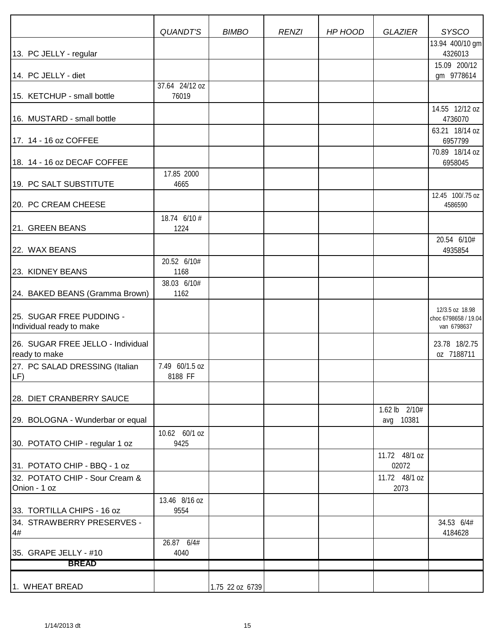|                                                      | <b>QUANDT'S</b>           | <b>BIMBO</b>    | <b>RENZI</b> | HP HOOD | <b>GLAZIER</b>             | <b>SYSCO</b>                                           |
|------------------------------------------------------|---------------------------|-----------------|--------------|---------|----------------------------|--------------------------------------------------------|
|                                                      |                           |                 |              |         |                            | 13.94 400/10 gm                                        |
| 13. PC JELLY - regular                               |                           |                 |              |         |                            | 4326013                                                |
| 14. PC JELLY - diet                                  |                           |                 |              |         |                            | 15.09 200/12<br>gm 9778614                             |
|                                                      | 37.64 24/12 oz            |                 |              |         |                            |                                                        |
| 15. KETCHUP - small bottle                           | 76019                     |                 |              |         |                            |                                                        |
| 16. MUSTARD - small bottle                           |                           |                 |              |         |                            | 14.55 12/12 oz<br>4736070                              |
| 17. 14 - 16 oz COFFEE                                |                           |                 |              |         |                            | 63.21 18/14 oz<br>6957799                              |
| 18. 14 - 16 oz DECAF COFFEE                          |                           |                 |              |         |                            | 70.89 18/14 oz<br>6958045                              |
|                                                      | 17.85 2000                |                 |              |         |                            |                                                        |
| 19. PC SALT SUBSTITUTE                               | 4665                      |                 |              |         |                            | 12.45 100/.75 oz                                       |
| 20. PC CREAM CHEESE                                  |                           |                 |              |         |                            | 4586590                                                |
| 21. GREEN BEANS                                      | 18.74 6/10 #<br>1224      |                 |              |         |                            |                                                        |
| 22. WAX BEANS                                        |                           |                 |              |         |                            | 20.54 6/10#<br>4935854                                 |
|                                                      | 20.52 6/10#               |                 |              |         |                            |                                                        |
| 23. KIDNEY BEANS                                     | 1168<br>38.03 6/10#       |                 |              |         |                            |                                                        |
| 24. BAKED BEANS (Gramma Brown)                       | 1162                      |                 |              |         |                            |                                                        |
| 25. SUGAR FREE PUDDING -<br>Individual ready to make |                           |                 |              |         |                            | 12/3.5 oz 18.98<br>choc 6798658 / 19.04<br>van 6798637 |
| 26. SUGAR FREE JELLO - Individual<br>ready to make   |                           |                 |              |         |                            | 23.78 18/2.75<br>oz 7188711                            |
| 27. PC SALAD DRESSING (Italian<br>$LE$ )             | 7.49 60/1.5 oz<br>8188 FF |                 |              |         |                            |                                                        |
| 28. DIET CRANBERRY SAUCE                             |                           |                 |              |         |                            |                                                        |
| 29. BOLOGNA - Wunderbar or equal                     |                           |                 |              |         | 1.62 lb 2/10#<br>avg 10381 |                                                        |
| 30. POTATO CHIP - regular 1 oz                       | 10.62 60/1 oz<br>9425     |                 |              |         |                            |                                                        |
| 31. POTATO CHIP - BBQ - 1 oz                         |                           |                 |              |         | 11.72 48/1 oz<br>02072     |                                                        |
| 32. POTATO CHIP - Sour Cream &                       |                           |                 |              |         | 11.72 48/1 oz              |                                                        |
| Onion - 1 oz                                         |                           |                 |              |         | 2073                       |                                                        |
| 33. TORTILLA CHIPS - 16 oz                           | 13.46 8/16 oz<br>9554     |                 |              |         |                            |                                                        |
| 34. STRAWBERRY PRESERVES -                           |                           |                 |              |         |                            | 34.53 6/4#                                             |
| 4#                                                   |                           |                 |              |         |                            | 4184628                                                |
| 35. GRAPE JELLY - #10                                | 26.87 6/4#<br>4040        |                 |              |         |                            |                                                        |
| <b>BREAD</b>                                         |                           |                 |              |         |                            |                                                        |
|                                                      |                           |                 |              |         |                            |                                                        |
| 1. WHEAT BREAD                                       |                           | 1.75 22 oz 6739 |              |         |                            |                                                        |